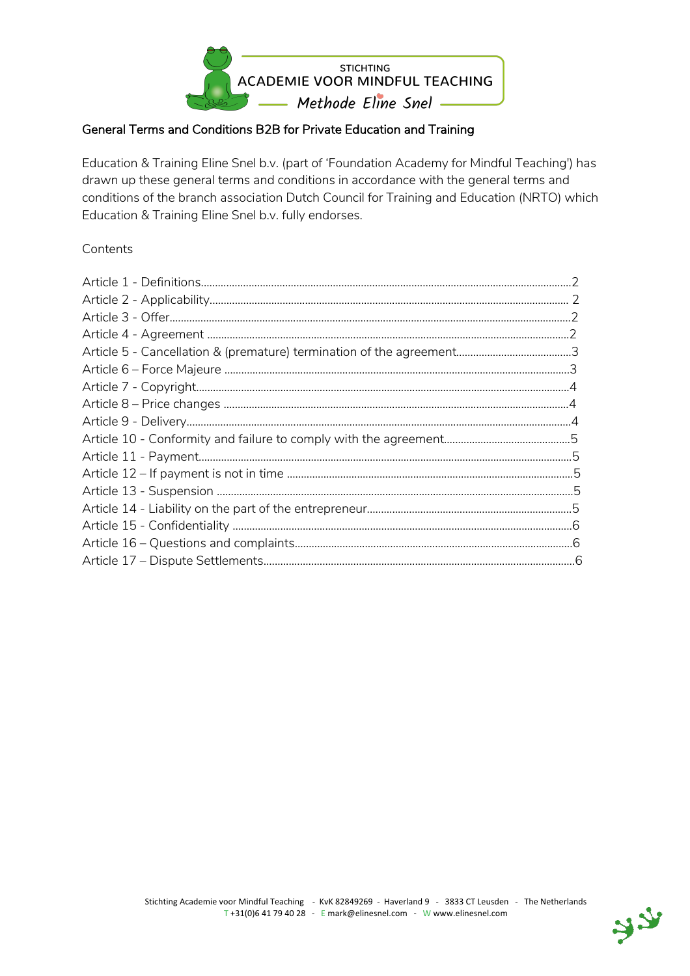

### General Terms and Conditions B2B for Private Education and Training

Education & Training Eline Snel b.v. (part of 'Foundation Academy for Mindful Teaching') has drawn up these general terms and conditions in accordance with the general terms and conditions of the branch association Dutch Council for Training and Education (NRTO) which Education & Training Eline Snel b.v. fully endorses.

#### **Contents**

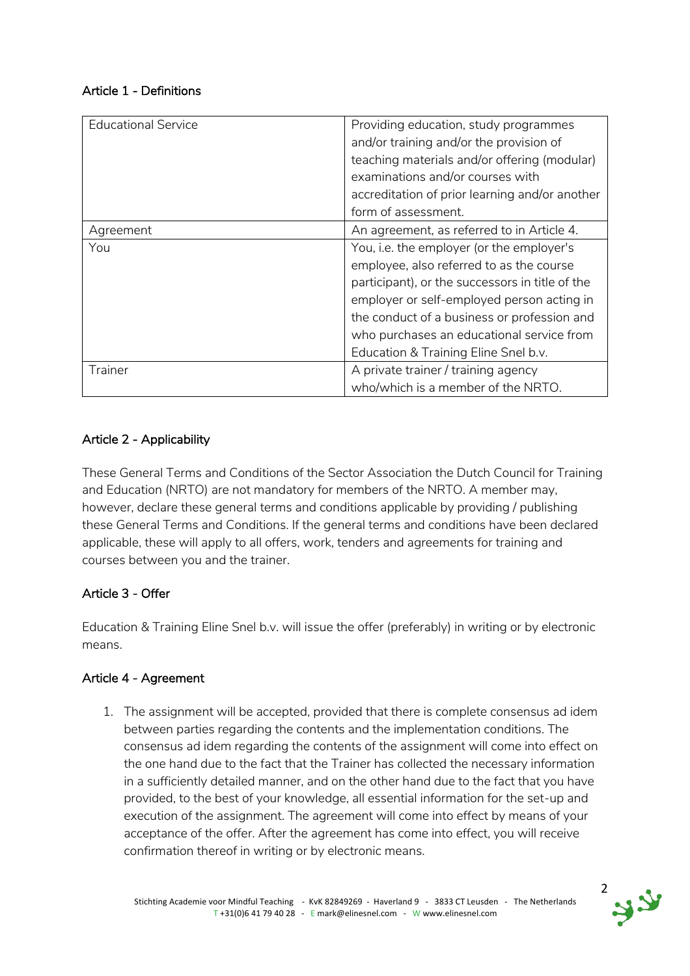### Article 1 - Definitions

| Educational Service | Providing education, study programmes<br>and/or training and/or the provision of<br>teaching materials and/or offering (modular)<br>examinations and/or courses with<br>accreditation of prior learning and/or another<br>form of assessment. |  |
|---------------------|-----------------------------------------------------------------------------------------------------------------------------------------------------------------------------------------------------------------------------------------------|--|
| Agreement           | An agreement, as referred to in Article 4.                                                                                                                                                                                                    |  |
| You                 | You, i.e. the employer (or the employer's                                                                                                                                                                                                     |  |
|                     | employee, also referred to as the course                                                                                                                                                                                                      |  |
|                     | participant), or the successors in title of the<br>employer or self-employed person acting in<br>the conduct of a business or profession and                                                                                                  |  |
|                     |                                                                                                                                                                                                                                               |  |
|                     |                                                                                                                                                                                                                                               |  |
|                     | who purchases an educational service from                                                                                                                                                                                                     |  |
|                     | Education & Training Eline Snel b.v.                                                                                                                                                                                                          |  |
| Trainer             | A private trainer / training agency                                                                                                                                                                                                           |  |
|                     | who/which is a member of the NRTO.                                                                                                                                                                                                            |  |

## Article 2 - Applicability

These General Terms and Conditions of the Sector Association the Dutch Council for Training and Education (NRTO) are not mandatory for members of the NRTO. A member may, however, declare these general terms and conditions applicable by providing / publishing these General Terms and Conditions. If the general terms and conditions have been declared applicable, these will apply to all offers, work, tenders and agreements for training and courses between you and the trainer.

#### Article 3 - Offer

Education & Training Eline Snel b.v. will issue the offer (preferably) in writing or by electronic means.

#### Article 4 - Agreement

1. The assignment will be accepted, provided that there is complete consensus ad idem between parties regarding the contents and the implementation conditions. The consensus ad idem regarding the contents of the assignment will come into effect on the one hand due to the fact that the Trainer has collected the necessary information in a sufficiently detailed manner, and on the other hand due to the fact that you have provided, to the best of your knowledge, all essential information for the set-up and execution of the assignment. The agreement will come into effect by means of your acceptance of the offer. After the agreement has come into effect, you will receive confirmation thereof in writing or by electronic means.

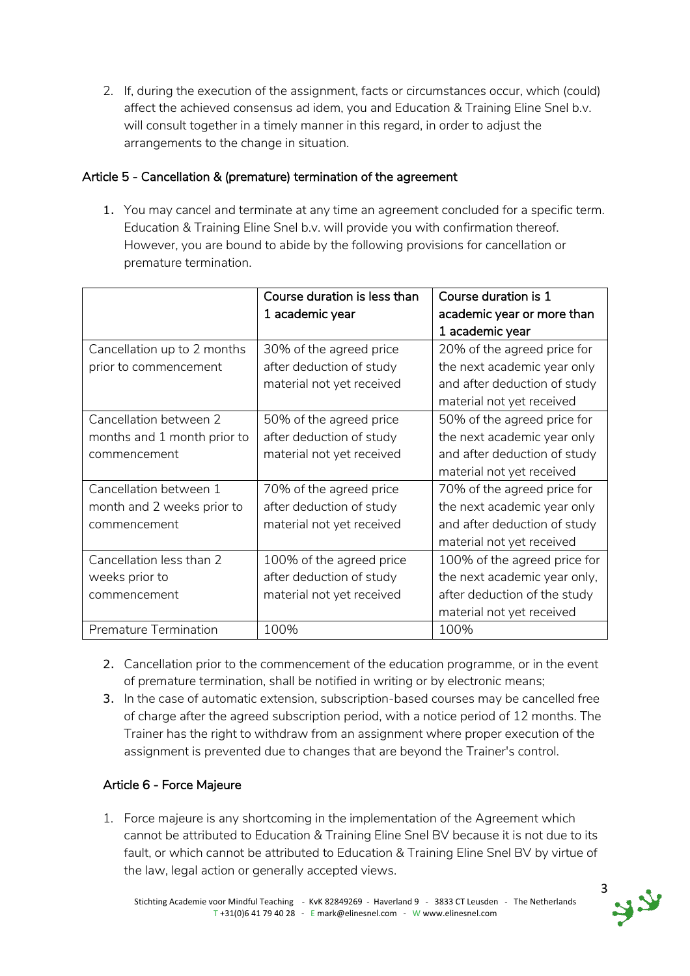2. If, during the execution of the assignment, facts or circumstances occur, which (could) affect the achieved consensus ad idem, you and Education & Training Eline Snel b.v. will consult together in a timely manner in this regard, in order to adjust the arrangements to the change in situation.

### Article 5 - Cancellation & (premature) termination of the agreement

1. You may cancel and terminate at any time an agreement concluded for a specific term. Education & Training Eline Snel b.v. will provide you with confirmation thereof. However, you are bound to abide by the following provisions for cancellation or premature termination.

|                              | Course duration is less than | Course duration is 1         |
|------------------------------|------------------------------|------------------------------|
|                              | 1 academic year              | academic year or more than   |
|                              |                              | 1 academic year              |
| Cancellation up to 2 months  | 30% of the agreed price      | 20% of the agreed price for  |
| prior to commencement        | after deduction of study     | the next academic year only  |
|                              | material not yet received    | and after deduction of study |
|                              |                              | material not yet received    |
| Cancellation between 2       | 50% of the agreed price      | 50% of the agreed price for  |
| months and 1 month prior to  | after deduction of study     | the next academic year only  |
| commencement                 | material not yet received    | and after deduction of study |
|                              |                              | material not yet received    |
| Cancellation between 1       | 70% of the agreed price      | 70% of the agreed price for  |
| month and 2 weeks prior to   | after deduction of study     | the next academic year only  |
| commencement                 | material not yet received    | and after deduction of study |
|                              |                              | material not yet received    |
| Cancellation less than 2     | 100% of the agreed price     | 100% of the agreed price for |
| weeks prior to               | after deduction of study     | the next academic year only, |
| commencement                 | material not yet received    | after deduction of the study |
|                              |                              | material not yet received    |
| <b>Premature Termination</b> | 100%                         | 100%                         |

- 2. Cancellation prior to the commencement of the education programme, or in the event of premature termination, shall be notified in writing or by electronic means;
- 3. In the case of automatic extension, subscription-based courses may be cancelled free of charge after the agreed subscription period, with a notice period of 12 months. The Trainer has the right to withdraw from an assignment where proper execution of the assignment is prevented due to changes that are beyond the Trainer's control.

## Article 6 - Force Majeure

1. Force majeure is any shortcoming in the implementation of the Agreement which cannot be attributed to Education & Training Eline Snel BV because it is not due to its fault, or which cannot be attributed to Education & Training Eline Snel BV by virtue of the law, legal action or generally accepted views.

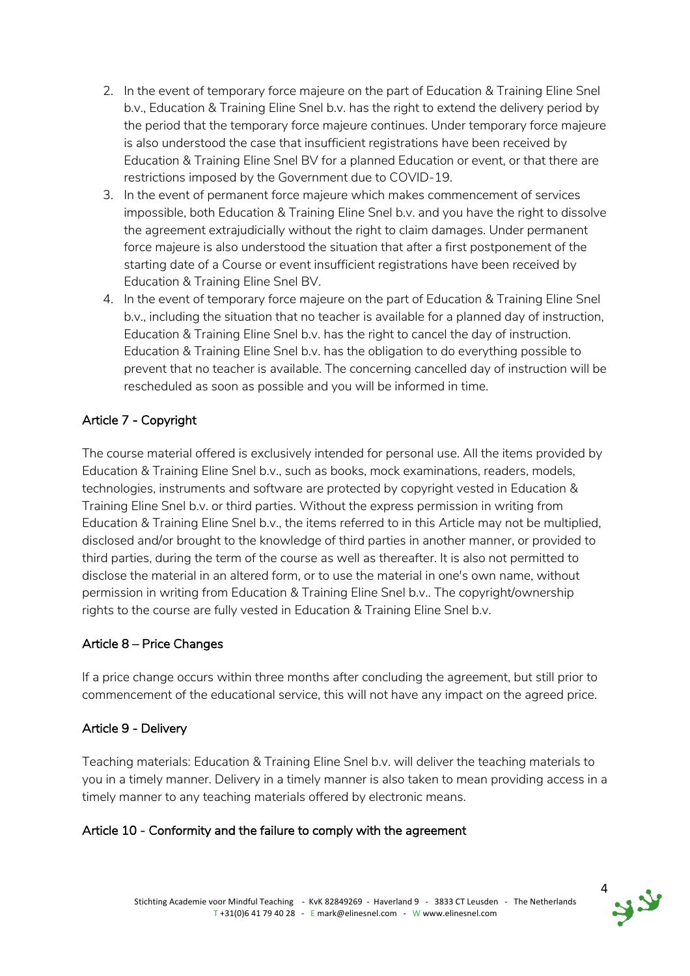- 2. In the event of temporary force majeure on the part of Education & Training Eline Snel b.v., Education & Training Eline Snel b.v. has the right to extend the delivery period by the period that the temporary force majeure continues. Under temporary force majeure is also understood the case that insufficient registrations have been received by Education & Training Eline Snel BV for a planned Education or event, or that there are restrictions imposed by the Government due to COVID-19.
- 3. In the event of permanent force majeure which makes commencement of services impossible, both Education & Training Eline Snel b.v. and you have the right to dissolve the agreement extrajudicially without the right to claim damages. Under permanent force majeure is also understood the situation that after a first postponement of the starting date of a Course or event insufficient registrations have been received by Education & Training Eline Snel BV.
- 4. In the event of temporary force majeure on the part of Education & Training Eline Snel b.v., including the situation that no teacher is available for a planned day of instruction, Education & Training Eline Snel b.v. has the right to cancel the day of instruction. Education & Training Eline Snel b.v. has the obligation to do everything possible to prevent that no teacher is available. The concerning cancelled day of instruction will be rescheduled as soon as possible and you will be informed in time.

# Article 7 - Copyright

The course material offered is exclusively intended for personal use. All the items provided by Education & Training Eline Snel b.v., such as books, mock examinations, readers, models, technologies, instruments and software are protected by copyright vested in Education & Training Eline Snel b.v. or third parties. Without the express permission in writing from Education & Training Eline Snel b.v., the items referred to in this Article may not be multiplied, disclosed and/or brought to the knowledge of third parties in another manner, or provided to third parties, during the term of the course as well as thereafter. It is also not permitted to disclose the material in an altered form, or to use the material in one's own name, without permission in writing from Education & Training Eline Snel b.v.. The copyright/ownership rights to the course are fully vested in Education & Training Eline Snel b.v.

## Article 8 – Price Changes

If a price change occurs within three months after concluding the agreement, but still prior to commencement of the educational service, this will not have any impact on the agreed price.

#### Article 9 - Delivery

Teaching materials: Education & Training Eline Snel b.v. will deliver the teaching materials to you in a timely manner. Delivery in a timely manner is also taken to mean providing access in a timely manner to any teaching materials offered by electronic means.

## Article 10 - Conformity and the failure to comply with the agreement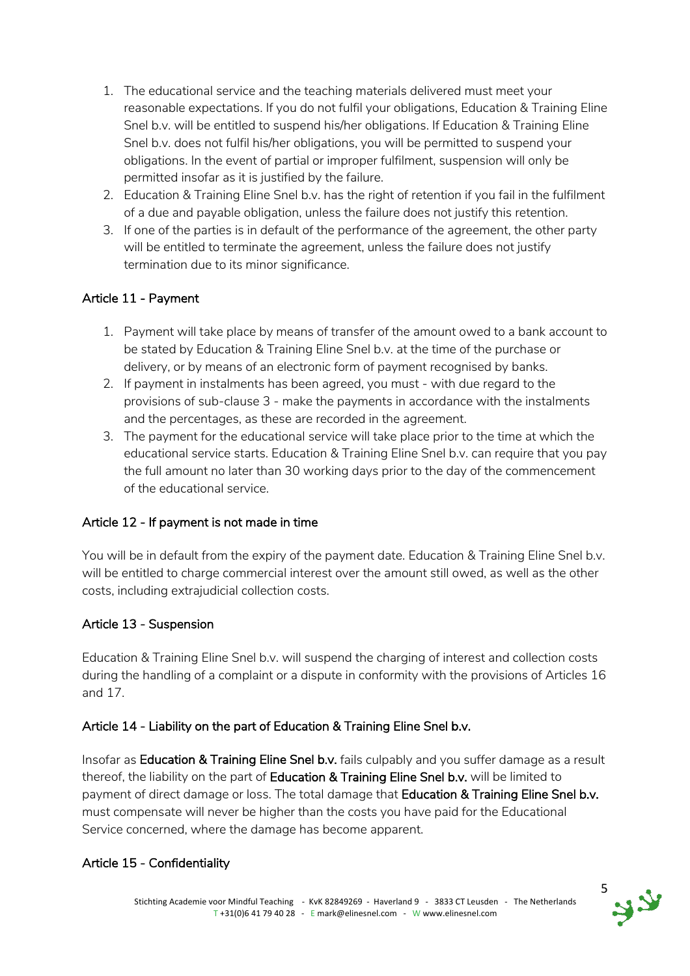- 1. The educational service and the teaching materials delivered must meet your reasonable expectations. If you do not fulfil your obligations, Education & Training Eline Snel b.v. will be entitled to suspend his/her obligations. If Education & Training Eline Snel b.v. does not fulfil his/her obligations, you will be permitted to suspend your obligations. In the event of partial or improper fulfilment, suspension will only be permitted insofar as it is justified by the failure.
- 2. Education & Training Eline Snel b.v. has the right of retention if you fail in the fulfilment of a due and payable obligation, unless the failure does not justify this retention.
- 3. If one of the parties is in default of the performance of the agreement, the other party will be entitled to terminate the agreement, unless the failure does not justify termination due to its minor significance.

## Article 11 - Payment

- 1. Payment will take place by means of transfer of the amount owed to a bank account to be stated by Education & Training Eline Snel b.v. at the time of the purchase or delivery, or by means of an electronic form of payment recognised by banks.
- 2. If payment in instalments has been agreed, you must with due regard to the provisions of sub-clause 3 - make the payments in accordance with the instalments and the percentages, as these are recorded in the agreement.
- 3. The payment for the educational service will take place prior to the time at which the educational service starts. Education & Training Eline Snel b.v. can require that you pay the full amount no later than 30 working days prior to the day of the commencement of the educational service.

## Article 12 - If payment is not made in time

You will be in default from the expiry of the payment date. Education & Training Eline Snel b.v. will be entitled to charge commercial interest over the amount still owed, as well as the other costs, including extrajudicial collection costs.

#### Article 13 - Suspension

Education & Training Eline Snel b.v. will suspend the charging of interest and collection costs during the handling of a complaint or a dispute in conformity with the provisions of Articles 16 and 17.

## Article 14 - Liability on the part of Education & Training Eline Snel b.v.

Insofar as Education & Training Eline Snel b.v. fails culpably and you suffer damage as a result thereof, the liability on the part of Education & Training Eline Snel b.v. will be limited to payment of direct damage or loss. The total damage that Education & Training Eline Snel b.v. must compensate will never be higher than the costs you have paid for the Educational Service concerned, where the damage has become apparent.

## Article 15 - Confidentiality

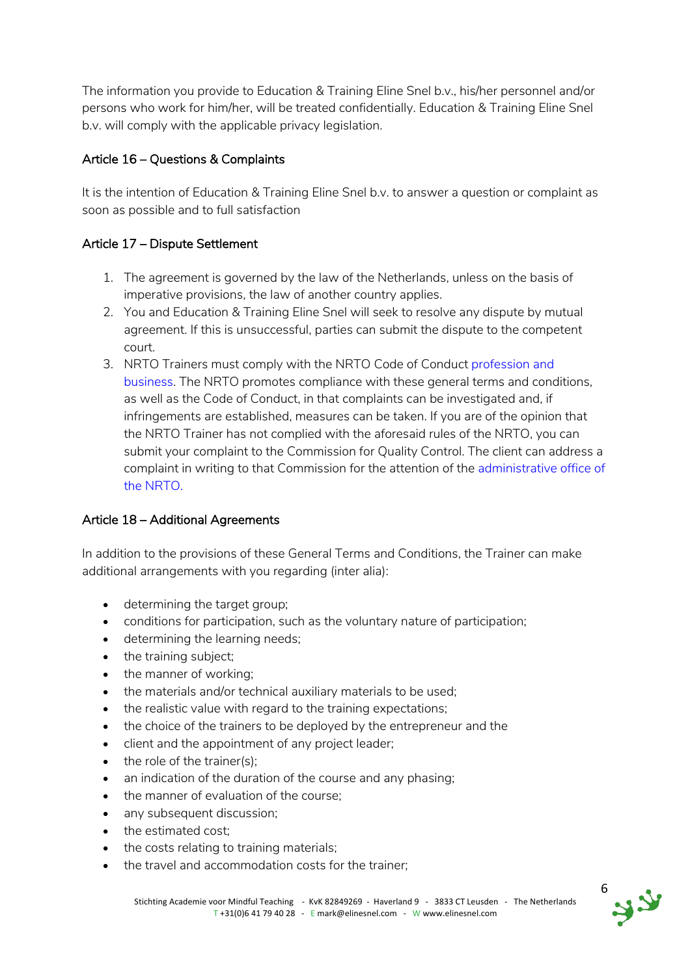The information you provide to Education & Training Eline Snel b.v., his/her personnel and/or persons who work for him/her, will be treated confidentially. Education & Training Eline Snel b.v. will comply with the applicable privacy legislation.

# Article 16 – Questions & Complaints

It is the intention of Education & Training Eline Snel b.v. to answer a question or complaint as soon as possible and to full satisfaction

## Article 17 – Dispute Settlement

- 1. The agreement is governed by the law of the Netherlands, unless on the basis of imperative provisions, the law of another country applies.
- 2. You and Education & Training Eline Snel will seek to resolve any dispute by mutual agreement. If this is unsuccessful, parties can submit the dispute to the competent court.
- 3. NRTO Trainers must comply with the NRTO Code of Conduct profession and business. The NRTO promotes compliance with these general terms and conditions, as well as the Code of Conduct, in that complaints can be investigated and, if infringements are established, measures can be taken. If you are of the opinion that the NRTO Trainer has not complied with the aforesaid rules of the NRTO, you can submit your complaint to the Commission for Quality Control. The client can address a complaint in writing to that Commission for the attention of the administrative office of the NRTO.

## Article 18 – Additional Agreements

In addition to the provisions of these General Terms and Conditions, the Trainer can make additional arrangements with you regarding (inter alia):

- determining the target group;
- conditions for participation, such as the voluntary nature of participation;
- determining the learning needs;
- the training subject;
- the manner of working;
- the materials and/or technical auxiliary materials to be used;
- the realistic value with regard to the training expectations;
- the choice of the trainers to be deployed by the entrepreneur and the
- client and the appointment of any project leader;
- the role of the trainer(s);
- an indication of the duration of the course and any phasing;
- the manner of evaluation of the course;
- any subsequent discussion:
- the estimated cost;
- the costs relating to training materials:
- the travel and accommodation costs for the trainer;